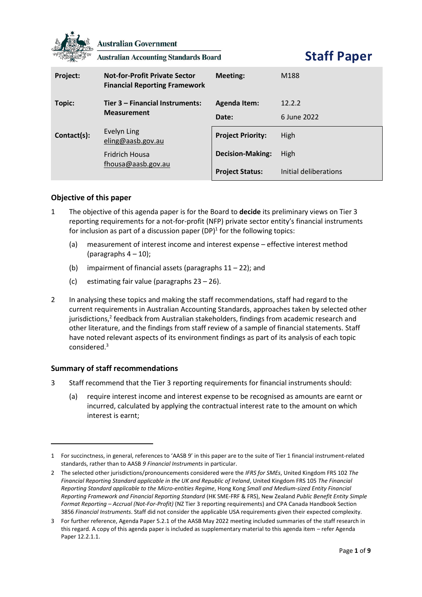

**Australian Government** 

**Australian Accounting Standards Board** 

**Staff Paper**

| Project:    | <b>Not-for-Profit Private Sector</b><br><b>Financial Reporting Framework</b> | Meeting:                 | M188                  |
|-------------|------------------------------------------------------------------------------|--------------------------|-----------------------|
| Topic:      | Tier 3 – Financial Instruments:<br><b>Measurement</b>                        | <b>Agenda Item:</b>      | 12.2.2                |
|             |                                                                              | Date:                    | 6 June 2022           |
| Contact(s): | Evelyn Ling<br>eling@aasb.gov.au                                             | <b>Project Priority:</b> | High                  |
|             | <b>Fridrich Housa</b><br>fhousa@aasb.gov.au                                  | <b>Decision-Making:</b>  | High                  |
|             |                                                                              | <b>Project Status:</b>   | Initial deliberations |

# **Objective of this paper**

- 1 The objective of this agenda paper is for the Board to **decide** its preliminary views on Tier 3 reporting requirements for a not-for-profit (NFP) private sector entity's financial instruments for inclusion as part of a discussion paper (DP)<sup>1</sup> for the following topics:
	- (a) measurement of interest income and interest expense effective interest method (paragraphs  $4 - 10$ );
	- (b) impairment of financial assets (paragraphs  $11 22$ ); and
	- (c) estimating fair value (paragraphs [23](#page-6-1) [26\)](#page-7-0).
- 2 In analysing these topics and making the staff recommendations, staff had regard to the current requirements in Australian Accounting Standards, approaches taken by selected other jurisdictions,<sup>2</sup> feedback from Australian stakeholders, findings from academic research and other literature, and the findings from staff review of a sample of financial statements. Staff have noted relevant aspects of its environment findings as part of its analysis of each topic considered. 3

## **Summary of staff recommendations**

- 3 Staff recommend that the Tier 3 reporting requirements for financial instruments should:
	- (a) require interest income and interest expense to be recognised as amounts are earnt or incurred, calculated by applying the contractual interest rate to the amount on which interest is earnt;

<sup>1</sup> For succinctness, in general, references to 'AASB 9' in this paper are to the suite of Tier 1 financial instrument-related standards, rather than to AASB *9 Financial Instruments* in particular.

<sup>2</sup> The selected other jurisdictions/pronouncements considered were the *IFRS for SMEs*, United Kingdom FRS 102 *The Financial Reporting Standard applicable in the UK and Republic of Ireland*, United Kingdom FRS 105 *The Financial Reporting Standard applicable to the Micro-entities Regime*, Hong Kong *Small and Medium-sized Entity Financial Reporting Framework and Financial Reporting Standard* (HK SME-FRF & FRS), New Zealand *Public Benefit Entity Simple Format Reporting – Accrual (Not-For-Profit)* (NZ Tier 3 reporting requirements) and CPA Canada Handbook Section 3856 *Financial Instruments*. Staff did not consider the applicable USA requirements given their expected complexity.

<sup>3</sup> For further reference, Agenda Paper 5.2.1 of the AASB May 2022 meeting included summaries of the staff research in this regard. A copy of this agenda paper is included as supplementary material to this agenda item – refer Agenda Paper 12.2.1.1.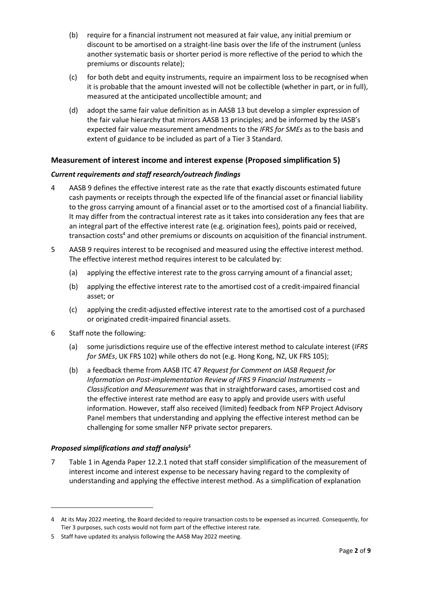- (b) require for a financial instrument not measured at fair value, any initial premium or discount to be amortised on a straight-line basis over the life of the instrument (unless another systematic basis or shorter period is more reflective of the period to which the premiums or discounts relate);
- (c) for both debt and equity instruments, require an impairment loss to be recognised when it is probable that the amount invested will not be collectible (whether in part, or in full), measured at the anticipated uncollectible amount; and
- (d) adopt the same fair value definition as in AASB 13 but develop a simpler expression of the fair value hierarchy that mirrors AASB 13 principles; and be informed by the IASB's expected fair value measurement amendments to the *IFRS for SMEs* as to the basis and extent of guidance to be included as part of a Tier 3 Standard.

# **Measurement of interest income and interest expense (Proposed simplification 5)**

## *Current requirements and staff research/outreach findings*

- <span id="page-1-0"></span>4 AASB 9 defines the effective interest rate as the rate that exactly discounts estimated future cash payments or receipts through the expected life of the financial asset or financial liability to the gross carrying amount of a financial asset or to the amortised cost of a financial liability. It may differ from the contractual interest rate as it takes into consideration any fees that are an integral part of the effective interest rate (e.g. origination fees), points paid or received, transaction costs<sup>4</sup> and other premiums or discounts on acquisition of the financial instrument.
- 5 AASB 9 requires interest to be recognised and measured using the effective interest method. The effective interest method requires interest to be calculated by:
	- (a) applying the effective interest rate to the gross carrying amount of a financial asset;
	- (b) applying the effective interest rate to the amortised cost of a credit-impaired financial asset; or
	- (c) applying the credit-adjusted effective interest rate to the amortised cost of a purchased or originated credit-impaired financial assets.
- 6 Staff note the following:
	- (a) some jurisdictions require use of the effective interest method to calculate interest (*IFRS for SMEs*, UK FRS 102) while others do not (e.g. Hong Kong, NZ, UK FRS 105);
	- (b) a feedback theme from AASB ITC 47 *Request for Comment on IASB Request for Information on Post-implementation Review of IFRS 9 Financial Instruments – Classification and Measurement* was that in straightforward cases, amortised cost and the effective interest rate method are easy to apply and provide users with useful information. However, staff also received (limited) feedback from NFP Project Advisory Panel members that understanding and applying the effective interest method can be challenging for some smaller NFP private sector preparers.

## *Proposed simplifications and staff analysis<sup>5</sup>*

7 Table 1 in Agenda Paper 12.2.1 noted that staff consider simplification of the measurement of interest income and interest expense to be necessary having regard to the complexity of understanding and applying the effective interest method. As a simplification of explanation

<sup>4</sup> At its May 2022 meeting, the Board decided to require transaction costs to be expensed as incurred. Consequently, for Tier 3 purposes, such costs would not form part of the effective interest rate.

<sup>5</sup> Staff have updated its analysis following the AASB May 2022 meeting.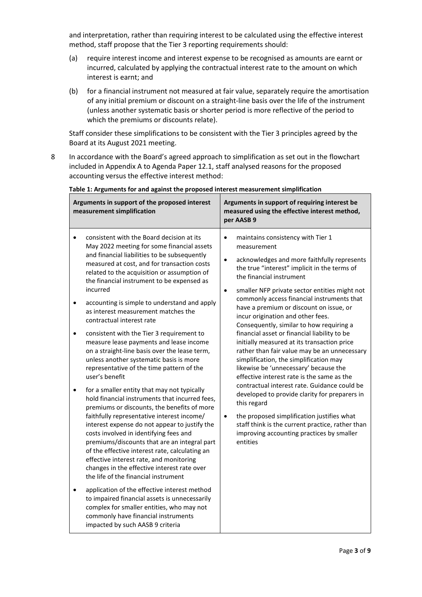and interpretation, rather than requiring interest to be calculated using the effective interest method, staff propose that the Tier 3 reporting requirements should:

- (a) require interest income and interest expense to be recognised as amounts are earnt or incurred, calculated by applying the contractual interest rate to the amount on which interest is earnt; and
- (b) for a financial instrument not measured at fair value, separately require the amortisation of any initial premium or discount on a straight-line basis over the life of the instrument (unless another systematic basis or shorter period is more reflective of the period to which the premiums or discounts relate).

Staff consider these simplifications to be consistent with the Tier 3 principles agreed by the Board at its August 2021 meeting.

8 In accordance with the Board's agreed approach to simplification as set out in the flowchart included in Appendix A to Agenda Paper 12.1, staff analysed reasons for the proposed accounting versus the effective interest method:

| Arguments in support of the proposed interest<br>measurement simplification                                                                                                                                                                                                                                                                                                                                                                                                                                                                                                                                                                                                                                                                                                                                                                                                                                                                                                                                                                                                                                                                                                                                                                                                                                                                                                                                                            | Arguments in support of requiring interest be<br>measured using the effective interest method,<br>per AASB 9                                                                                                                                                                                                                                                                                                                                                                                                                                                                                                                                                                                                                                                                                                                                                                                                                                                                                                          |
|----------------------------------------------------------------------------------------------------------------------------------------------------------------------------------------------------------------------------------------------------------------------------------------------------------------------------------------------------------------------------------------------------------------------------------------------------------------------------------------------------------------------------------------------------------------------------------------------------------------------------------------------------------------------------------------------------------------------------------------------------------------------------------------------------------------------------------------------------------------------------------------------------------------------------------------------------------------------------------------------------------------------------------------------------------------------------------------------------------------------------------------------------------------------------------------------------------------------------------------------------------------------------------------------------------------------------------------------------------------------------------------------------------------------------------------|-----------------------------------------------------------------------------------------------------------------------------------------------------------------------------------------------------------------------------------------------------------------------------------------------------------------------------------------------------------------------------------------------------------------------------------------------------------------------------------------------------------------------------------------------------------------------------------------------------------------------------------------------------------------------------------------------------------------------------------------------------------------------------------------------------------------------------------------------------------------------------------------------------------------------------------------------------------------------------------------------------------------------|
| consistent with the Board decision at its<br>May 2022 meeting for some financial assets<br>and financial liabilities to be subsequently<br>measured at cost, and for transaction costs<br>related to the acquisition or assumption of<br>the financial instrument to be expensed as<br>incurred<br>accounting is simple to understand and apply<br>٠<br>as interest measurement matches the<br>contractual interest rate<br>consistent with the Tier 3 requirement to<br>measure lease payments and lease income<br>on a straight-line basis over the lease term,<br>unless another systematic basis is more<br>representative of the time pattern of the<br>user's benefit<br>for a smaller entity that may not typically<br>hold financial instruments that incurred fees,<br>premiums or discounts, the benefits of more<br>faithfully representative interest income/<br>interest expense do not appear to justify the<br>costs involved in identifying fees and<br>premiums/discounts that are an integral part<br>of the effective interest rate, calculating an<br>effective interest rate, and monitoring<br>changes in the effective interest rate over<br>the life of the financial instrument<br>application of the effective interest method<br>٠<br>to impaired financial assets is unnecessarily<br>complex for smaller entities, who may not<br>commonly have financial instruments<br>impacted by such AASB 9 criteria | maintains consistency with Tier 1<br>$\bullet$<br>measurement<br>acknowledges and more faithfully represents<br>$\bullet$<br>the true "interest" implicit in the terms of<br>the financial instrument<br>smaller NFP private sector entities might not<br>$\bullet$<br>commonly access financial instruments that<br>have a premium or discount on issue, or<br>incur origination and other fees.<br>Consequently, similar to how requiring a<br>financial asset or financial liability to be<br>initially measured at its transaction price<br>rather than fair value may be an unnecessary<br>simplification, the simplification may<br>likewise be 'unnecessary' because the<br>effective interest rate is the same as the<br>contractual interest rate. Guidance could be<br>developed to provide clarity for preparers in<br>this regard<br>the proposed simplification justifies what<br>$\bullet$<br>staff think is the current practice, rather than<br>improving accounting practices by smaller<br>entities |

#### **Table 1: Arguments for and against the proposed interest measurement simplification**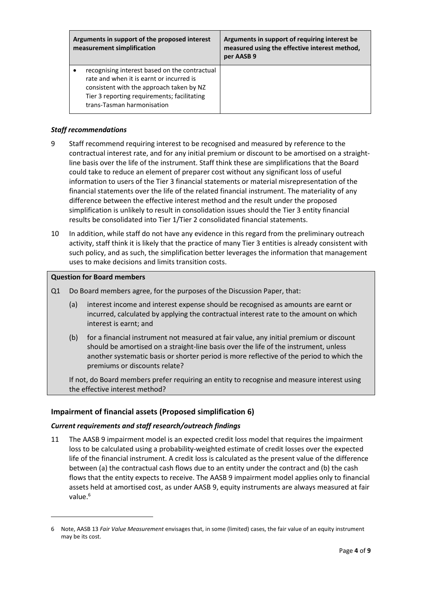| Arguments in support of the proposed interest<br>measurement simplification                                                                                                                                        | Arguments in support of requiring interest be<br>measured using the effective interest method,<br>per AASB 9 |
|--------------------------------------------------------------------------------------------------------------------------------------------------------------------------------------------------------------------|--------------------------------------------------------------------------------------------------------------|
| recognising interest based on the contractual<br>rate and when it is earnt or incurred is<br>consistent with the approach taken by NZ<br>Tier 3 reporting requirements; facilitating<br>trans-Tasman harmonisation |                                                                                                              |

## *Staff recommendations*

- 9 Staff recommend requiring interest to be recognised and measured by reference to the contractual interest rate, and for any initial premium or discount to be amortised on a straightline basis over the life of the instrument. Staff think these are simplifications that the Board could take to reduce an element of preparer cost without any significant loss of useful information to users of the Tier 3 financial statements or material misrepresentation of the financial statements over the life of the related financial instrument. The materiality of any difference between the effective interest method and the result under the proposed simplification is unlikely to result in consolidation issues should the Tier 3 entity financial results be consolidated into Tier 1/Tier 2 consolidated financial statements.
- <span id="page-3-0"></span>10 In addition, while staff do not have any evidence in this regard from the preliminary outreach activity, staff think it is likely that the practice of many Tier 3 entities is already consistent with such policy, and as such, the simplification better leverages the information that management uses to make decisions and limits transition costs.

## **Question for Board members**

- Q1 Do Board members agree, for the purposes of the Discussion Paper, that:
	- (a) interest income and interest expense should be recognised as amounts are earnt or incurred, calculated by applying the contractual interest rate to the amount on which interest is earnt; and
	- (b) for a financial instrument not measured at fair value, any initial premium or discount should be amortised on a straight-line basis over the life of the instrument, unless another systematic basis or shorter period is more reflective of the period to which the premiums or discounts relate?

If not, do Board members prefer requiring an entity to recognise and measure interest using the effective interest method?

# **Impairment of financial assets (Proposed simplification 6)**

## *Current requirements and staff research/outreach findings*

<span id="page-3-1"></span>11 The AASB 9 impairment model is an expected credit loss model that requires the impairment loss to be calculated using a probability-weighted estimate of credit losses over the expected life of the financial instrument. A credit loss is calculated as the present value of the difference between (a) the contractual cash flows due to an entity under the contract and (b) the cash flows that the entity expects to receive. The AASB 9 impairment model applies only to financial assets held at amortised cost, as under AASB 9, equity instruments are always measured at fair value.<sup>6</sup>

<sup>6</sup> Note, AASB 13 *Fair Value Measurement* envisages that, in some (limited) cases, the fair value of an equity instrument may be its cost.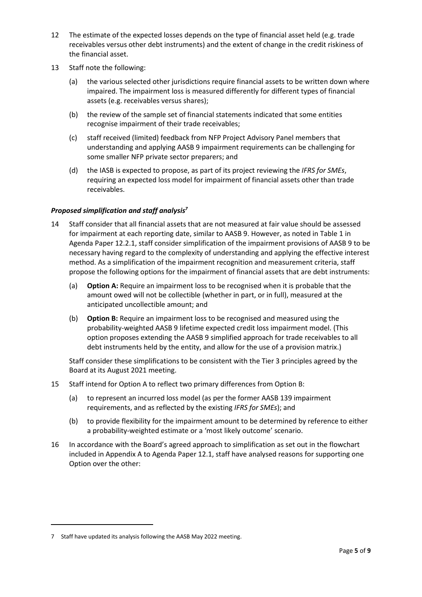- 12 The estimate of the expected losses depends on the type of financial asset held (e.g. trade receivables versus other debt instruments) and the extent of change in the credit riskiness of the financial asset.
- 13 Staff note the following:
	- (a) the various selected other jurisdictions require financial assets to be written down where impaired. The impairment loss is measured differently for different types of financial assets (e.g. receivables versus shares);
	- (b) the review of the sample set of financial statements indicated that some entities recognise impairment of their trade receivables;
	- (c) staff received (limited) feedback from NFP Project Advisory Panel members that understanding and applying AASB 9 impairment requirements can be challenging for some smaller NFP private sector preparers; and
	- (d) the IASB is expected to propose, as part of its project reviewing the *IFRS for SMEs*, requiring an expected loss model for impairment of financial assets other than trade receivables.

## *Proposed simplification and staff analysis<sup>7</sup>*

- <span id="page-4-0"></span>14 Staff consider that all financial assets that are not measured at fair value should be assessed for impairment at each reporting date, similar to AASB 9. However, as noted in Table 1 in Agenda Paper 12.2.1, staff consider simplification of the impairment provisions of AASB 9 to be necessary having regard to the complexity of understanding and applying the effective interest method. As a simplification of the impairment recognition and measurement criteria, staff propose the following options for the impairment of financial assets that are debt instruments:
	- (a) **Option A:** Require an impairment loss to be recognised when it is probable that the amount owed will not be collectible (whether in part, or in full), measured at the anticipated uncollectible amount; and
	- (b) **Option B:** Require an impairment loss to be recognised and measured using the probability-weighted AASB 9 lifetime expected credit loss impairment model. (This option proposes extending the AASB 9 simplified approach for trade receivables to all debt instruments held by the entity, and allow for the use of a provision matrix.)

Staff consider these simplifications to be consistent with the Tier 3 principles agreed by the Board at its August 2021 meeting.

- 15 Staff intend for Option A to reflect two primary differences from Option B:
	- (a) to represent an incurred loss model (as per the former AASB 139 impairment requirements, and as reflected by the existing *IFRS for SMEs*); and
	- (b) to provide flexibility for the impairment amount to be determined by reference to either a probability-weighted estimate or a 'most likely outcome' scenario.
- 16 In accordance with the Board's agreed approach to simplification as set out in the flowchart included in Appendix A to Agenda Paper 12.1, staff have analysed reasons for supporting one Option over the other:

<sup>7</sup> Staff have updated its analysis following the AASB May 2022 meeting.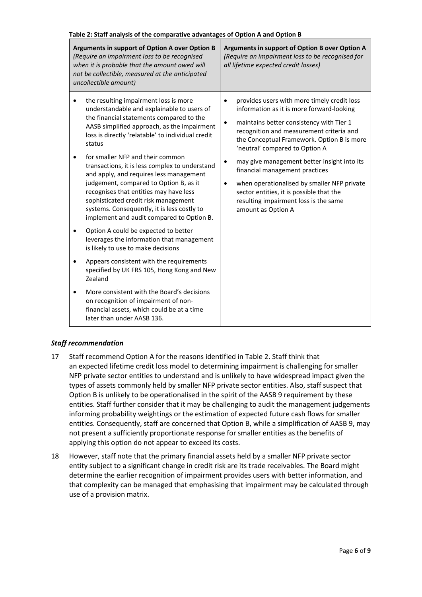| Arguments in support of Option A over Option B<br>(Require an impairment loss to be recognised<br>when it is probable that the amount owed will<br>not be collectible, measured at the anticipated<br>uncollectible amount)                                                                                                                                                                                                                                                                                                                                                                                                                                                                                                                                                                                                                                                                                                                                                                              | Arguments in support of Option B over Option A<br>(Require an impairment loss to be recognised for<br>all lifetime expected credit losses)                                                                                                                                                                                                                                                                                                                                                                                            |
|----------------------------------------------------------------------------------------------------------------------------------------------------------------------------------------------------------------------------------------------------------------------------------------------------------------------------------------------------------------------------------------------------------------------------------------------------------------------------------------------------------------------------------------------------------------------------------------------------------------------------------------------------------------------------------------------------------------------------------------------------------------------------------------------------------------------------------------------------------------------------------------------------------------------------------------------------------------------------------------------------------|---------------------------------------------------------------------------------------------------------------------------------------------------------------------------------------------------------------------------------------------------------------------------------------------------------------------------------------------------------------------------------------------------------------------------------------------------------------------------------------------------------------------------------------|
| the resulting impairment loss is more<br>understandable and explainable to users of<br>the financial statements compared to the<br>AASB simplified approach, as the impairment<br>loss is directly 'relatable' to individual credit<br>status<br>for smaller NFP and their common<br>transactions, it is less complex to understand<br>and apply, and requires less management<br>judgement, compared to Option B, as it<br>recognises that entities may have less<br>sophisticated credit risk management<br>systems. Consequently, it is less costly to<br>implement and audit compared to Option B.<br>Option A could be expected to better<br>leverages the information that management<br>is likely to use to make decisions<br>Appears consistent with the requirements<br>specified by UK FRS 105, Hong Kong and New<br>Zealand<br>More consistent with the Board's decisions<br>on recognition of impairment of non-<br>financial assets, which could be at a time<br>later than under AASB 136. | provides users with more timely credit loss<br>$\bullet$<br>information as it is more forward-looking<br>maintains better consistency with Tier 1<br>recognition and measurement criteria and<br>the Conceptual Framework. Option B is more<br>'neutral' compared to Option A<br>may give management better insight into its<br>$\bullet$<br>financial management practices<br>when operationalised by smaller NFP private<br>sector entities, it is possible that the<br>resulting impairment loss is the same<br>amount as Option A |

## *Staff recommendation*

- 17 Staff recommend Option A for the reasons identified in Table 2. Staff think that an expected lifetime credit loss model to determining impairment is challenging for smaller NFP private sector entities to understand and is unlikely to have widespread impact given the types of assets commonly held by smaller NFP private sector entities. Also, staff suspect that Option B is unlikely to be operationalised in the spirit of the AASB 9 requirement by these entities. Staff further consider that it may be challenging to audit the management judgements informing probability weightings or the estimation of expected future cash flows for smaller entities. Consequently, staff are concerned that Option B, while a simplification of AASB 9, may not present a sufficiently proportionate response for smaller entities as the benefits of applying this option do not appear to exceed its costs.
- 18 However, staff note that the primary financial assets held by a smaller NFP private sector entity subject to a significant change in credit risk are its trade receivables. The Board might determine the earlier recognition of impairment provides users with better information, and that complexity can be managed that emphasising that impairment may be calculated through use of a provision matrix.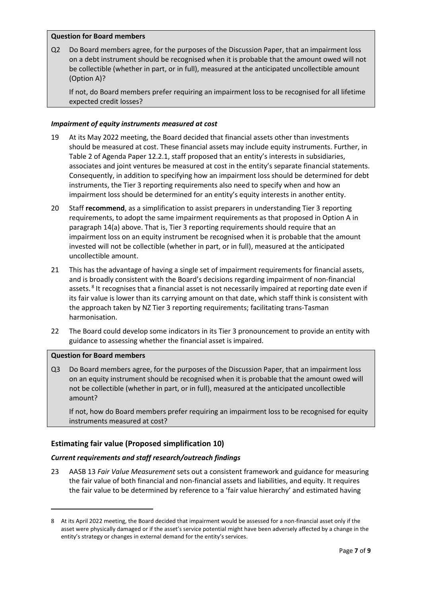#### **Question for Board members**

Q2 Do Board members agree, for the purposes of the Discussion Paper, that an impairment loss on a debt instrument should be recognised when it is probable that the amount owed will not be collectible (whether in part, or in full), measured at the anticipated uncollectible amount (Option A)?

If not, do Board members prefer requiring an impairment loss to be recognised for all lifetime expected credit losses?

## *Impairment of equity instruments measured at cost*

- 19 At its May 2022 meeting, the Board decided that financial assets other than investments should be measured at cost. These financial assets may include equity instruments. Further, in Table 2 of Agenda Paper 12.2.1, staff proposed that an entity's interests in subsidiaries, associates and joint ventures be measured at cost in the entity's separate financial statements. Consequently, in addition to specifying how an impairment loss should be determined for debt instruments, the Tier 3 reporting requirements also need to specify when and how an impairment loss should be determined for an entity's equity interests in another entity.
- 20 Staff **recommend**, as a simplification to assist preparers in understanding Tier 3 reporting requirements, to adopt the same impairment requirements as that proposed in Option A in paragraph [14\(a\)](#page-4-0) above. That is, Tier 3 reporting requirements should require that an impairment loss on an equity instrument be recognised when it is probable that the amount invested will not be collectible (whether in part, or in full), measured at the anticipated uncollectible amount.
- 21 This has the advantage of having a single set of impairment requirements for financial assets, and is broadly consistent with the Board's decisions regarding impairment of non-financial assets.<sup>8</sup> It recognises that a financial asset is not necessarily impaired at reporting date even if its fair value is lower than its carrying amount on that date, which staff think is consistent with the approach taken by NZ Tier 3 reporting requirements; facilitating trans-Tasman harmonisation.
- <span id="page-6-0"></span>22 The Board could develop some indicators in its Tier 3 pronouncement to provide an entity with guidance to assessing whether the financial asset is impaired.

## **Question for Board members**

Q3 Do Board members agree, for the purposes of the Discussion Paper, that an impairment loss on an equity instrument should be recognised when it is probable that the amount owed will not be collectible (whether in part, or in full), measured at the anticipated uncollectible amount?

If not, how do Board members prefer requiring an impairment loss to be recognised for equity instruments measured at cost?

# **Estimating fair value (Proposed simplification 10)**

## *Current requirements and staff research/outreach findings*

<span id="page-6-1"></span>23 AASB 13 *Fair Value Measurement* sets out a consistent framework and guidance for measuring the fair value of both financial and non-financial assets and liabilities, and equity. It requires the fair value to be determined by reference to a 'fair value hierarchy' and estimated having

<sup>8</sup> At its April 2022 meeting, the Board decided that impairment would be assessed for a non-financial asset only if the asset were physically damaged or if the asset's service potential might have been adversely affected by a change in the entity's strategy or changes in external demand for the entity's services.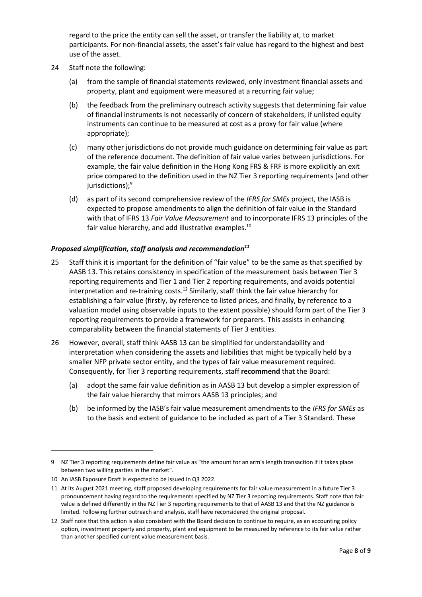regard to the price the entity can sell the asset, or transfer the liability at, to market participants. For non-financial assets, the asset's fair value has regard to the highest and best use of the asset.

- 24 Staff note the following:
	- (a) from the sample of financial statements reviewed, only investment financial assets and property, plant and equipment were measured at a recurring fair value;
	- (b) the feedback from the preliminary outreach activity suggests that determining fair value of financial instruments is not necessarily of concern of stakeholders, if unlisted equity instruments can continue to be measured at cost as a proxy for fair value (where appropriate);
	- (c) many other jurisdictions do not provide much guidance on determining fair value as part of the reference document. The definition of fair value varies between jurisdictions. For example, the fair value definition in the Hong Kong FRS & FRF is more explicitly an exit price compared to the definition used in the NZ Tier 3 reporting requirements (and other jurisdictions); 9
	- (d) as part of its second comprehensive review of the *IFRS for SMEs* project, the IASB is expected to propose amendments to align the definition of fair value in the Standard with that of IFRS 13 *Fair Value Measurement* and to incorporate IFRS 13 principles of the fair value hierarchy, and add illustrative examples.<sup>10</sup>

## *Proposed simplification, staff analysis and recommendation<sup>11</sup>*

- 25 Staff think it is important for the definition of "fair value" to be the same as that specified by AASB 13. This retains consistency in specification of the measurement basis between Tier 3 reporting requirements and Tier 1 and Tier 2 reporting requirements, and avoids potential interpretation and re-training costs.<sup>12</sup> Similarly, staff think the fair value hierarchy for establishing a fair value (firstly, by reference to listed prices, and finally, by reference to a valuation model using observable inputs to the extent possible) should form part of the Tier 3 reporting requirements to provide a framework for preparers. This assists in enhancing comparability between the financial statements of Tier 3 entities.
- <span id="page-7-0"></span>26 However, overall, staff think AASB 13 can be simplified for understandability and interpretation when considering the assets and liabilities that might be typically held by a smaller NFP private sector entity, and the types of fair value measurement required. Consequently, for Tier 3 reporting requirements, staff **recommend** that the Board:
	- (a) adopt the same fair value definition as in AASB 13 but develop a simpler expression of the fair value hierarchy that mirrors AASB 13 principles; and
	- (b) be informed by the IASB's fair value measurement amendments to the *IFRS for SMEs* as to the basis and extent of guidance to be included as part of a Tier 3 Standard. These

<sup>9</sup> NZ Tier 3 reporting requirements define fair value as "the amount for an arm's length transaction if it takes place between two willing parties in the market".

<sup>10</sup> An IASB Exposure Draft is expected to be issued in Q3 2022.

<sup>11</sup> At its August 2021 meeting, staff proposed developing requirements for fair value measurement in a future Tier 3 pronouncement having regard to the requirements specified by NZ Tier 3 reporting requirements. Staff note that fair value is defined differently in the NZ Tier 3 reporting requirements to that of AASB 13 and that the NZ guidance is limited. Following further outreach and analysis, staff have reconsidered the original proposal.

<sup>12</sup> Staff note that this action is also consistent with the Board decision to continue to require, as an accounting policy option, investment property and property, plant and equipment to be measured by reference to its fair value rather than another specified current value measurement basis.